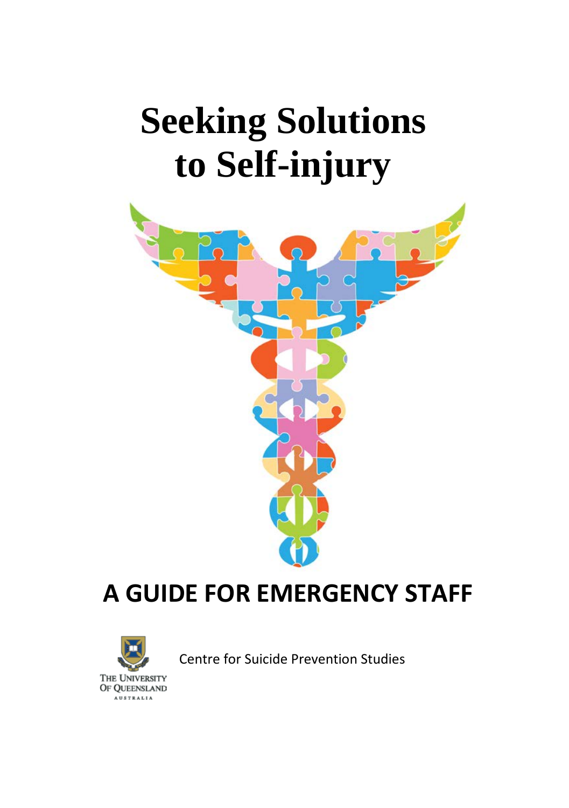# **Seeking Solutions to Self-injury**



# **A GUIDE FOR EMERGENCY STAFF**



Centre for Suicide Prevention Studies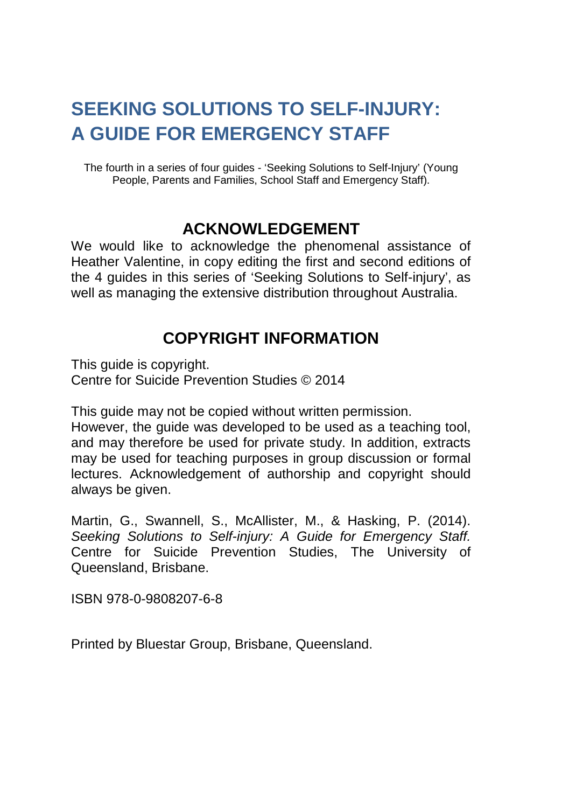# **SEEKING SOLUTIONS TO SELF-INJURY: A GUIDE FOR EMERGENCY STAFF**

The fourth in a series of four guides - 'Seeking Solutions to Self-Injury' (Young People, Parents and Families, School Staff and Emergency Staff).

#### **ACKNOWLEDGEMENT**

We would like to acknowledge the phenomenal assistance of Heather Valentine, in copy editing the first and second editions of the 4 guides in this series of 'Seeking Solutions to Self-injury', as well as managing the extensive distribution throughout Australia.

#### **COPYRIGHT INFORMATION**

This quide is copyright. Centre for Suicide Prevention Studies © 2014

This guide may not be copied without written permission.

However, the guide was developed to be used as a teaching tool, and may therefore be used for private study. In addition, extracts may be used for teaching purposes in group discussion or formal lectures. Acknowledgement of authorship and copyright should always be given.

Martin, G., Swannell, S., McAllister, M., & Hasking, P. (2014). *Seeking Solutions to Self-injury: A Guide for Emergency Staff.* Centre for Suicide Prevention Studies, The University of Queensland, Brisbane.

ISBN 978-0-9808207-6-8

Printed by Bluestar Group, Brisbane, Queensland.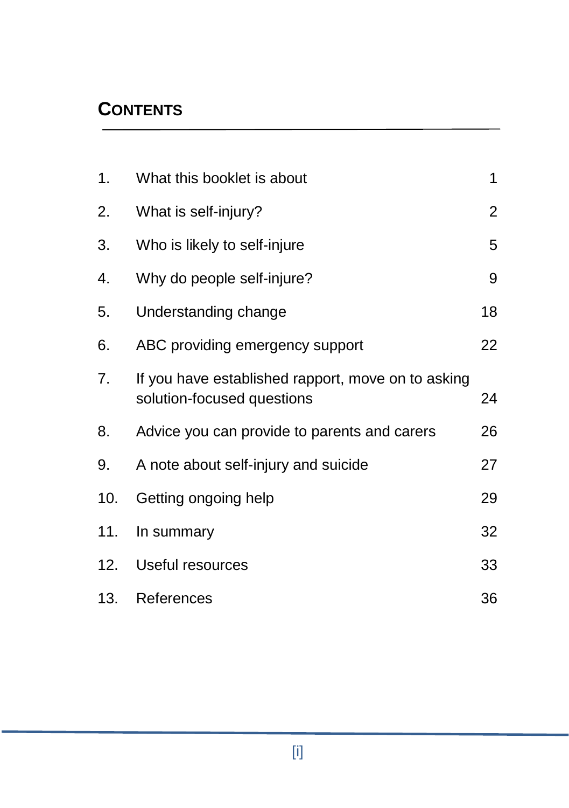## **CONTENTS**

| 1.  | What this booklet is about                                                       | 1              |
|-----|----------------------------------------------------------------------------------|----------------|
| 2.  | What is self-injury?                                                             | $\overline{2}$ |
| 3.  | Who is likely to self-injure                                                     | 5              |
| 4.  | Why do people self-injure?                                                       | 9              |
| 5.  | Understanding change                                                             | 18             |
| 6.  | ABC providing emergency support                                                  | 22             |
| 7.  | If you have established rapport, move on to asking<br>solution-focused questions | 24             |
| 8.  | Advice you can provide to parents and carers                                     | 26             |
| 9.  | A note about self-injury and suicide                                             | 27             |
| 10. | Getting ongoing help                                                             | 29             |
| 11. | In summary                                                                       | 32             |
| 12. | Useful resources                                                                 | 33             |
| 13. | References                                                                       | 36             |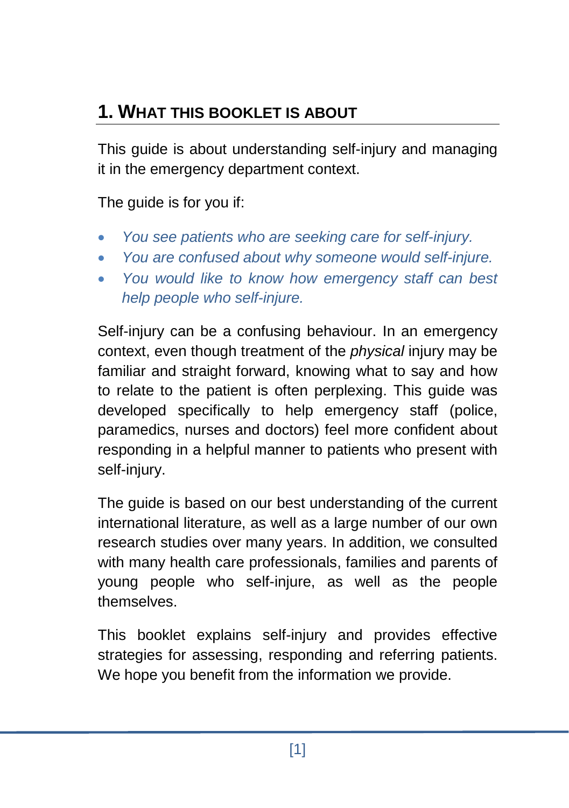# **1. WHAT THIS BOOKLET IS ABOUT**

This guide is about understanding self-injury and managing it in the emergency department context.

The guide is for you if:

- *You see patients who are seeking care for self-injury.*
- *You are confused about why someone would self-injure.*
- *You would like to know how emergency staff can best help people who self-injure.*

Self-injury can be a confusing behaviour. In an emergency context, even though treatment of the *physical* injury may be familiar and straight forward, knowing what to say and how to relate to the patient is often perplexing. This guide was developed specifically to help emergency staff (police, paramedics, nurses and doctors) feel more confident about responding in a helpful manner to patients who present with self-injury.

The guide is based on our best understanding of the current international literature, as well as a large number of our own research studies over many years. In addition, we consulted with many health care professionals, families and parents of young people who self-injure, as well as the people themselves.

This booklet explains self-injury and provides effective strategies for assessing, responding and referring patients. We hope you benefit from the information we provide.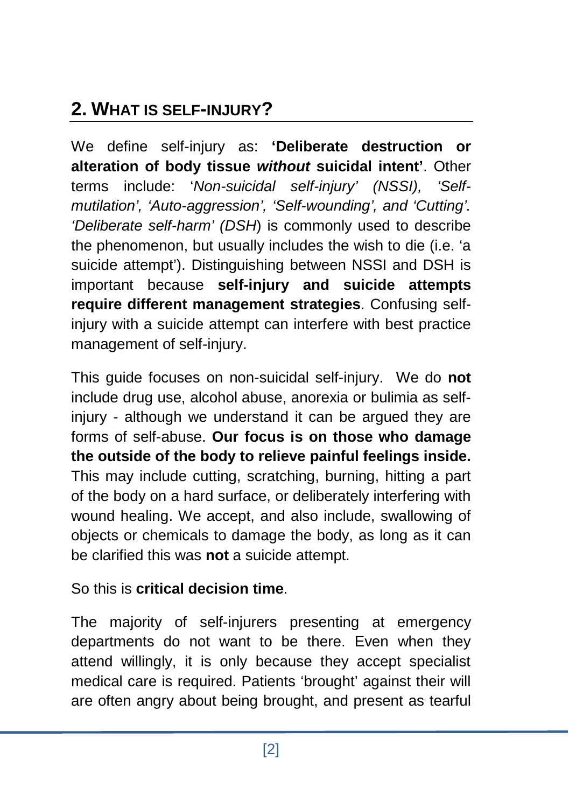# **2. WHAT IS SELF-INJURY?**

We define self-injury as: **'Deliberate destruction or alteration of body tissue** *without* **suicidal intent'**. Other terms include: '*Non-suicidal self-injury' (NSSI), 'Selfmutilation', 'Auto-aggression', 'Self-wounding', and 'Cutting'. 'Deliberate self-harm' (DSH*) is commonly used to describe the phenomenon, but usually includes the wish to die (i.e. 'a suicide attempt'). Distinguishing between NSSI and DSH is important because **self-injury and suicide attempts require different management strategies**. Confusing selfinjury with a suicide attempt can interfere with best practice management of self-injury.

This guide focuses on non-suicidal self-injury. We do **not** include drug use, alcohol abuse, anorexia or bulimia as selfinjury - although we understand it can be argued they are forms of self-abuse. **Our focus is on those who damage the outside of the body to relieve painful feelings inside.** This may include cutting, scratching, burning, hitting a part of the body on a hard surface, or deliberately interfering with wound healing. We accept, and also include, swallowing of objects or chemicals to damage the body, as long as it can be clarified this was **not** a suicide attempt.

So this is **critical decision time**.

The majority of self-injurers presenting at emergency departments do not want to be there. Even when they attend willingly, it is only because they accept specialist medical care is required. Patients 'brought' against their will are often angry about being brought, and present as tearful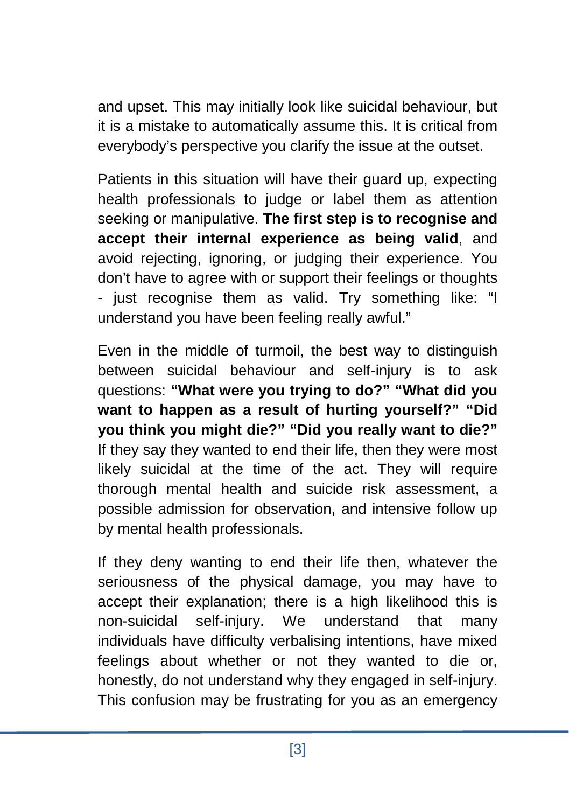and upset. This may initially look like suicidal behaviour, but it is a mistake to automatically assume this. It is critical from everybody's perspective you clarify the issue at the outset.

Patients in this situation will have their guard up, expecting health professionals to judge or label them as attention seeking or manipulative. **The first step is to recognise and accept their internal experience as being valid**, and avoid rejecting, ignoring, or judging their experience. You don't have to agree with or support their feelings or thoughts - just recognise them as valid. Try something like: "I understand you have been feeling really awful."

Even in the middle of turmoil, the best way to distinguish between suicidal behaviour and self-injury is to ask questions: **"What were you trying to do?" "What did you want to happen as a result of hurting yourself?" "Did you think you might die?" "Did you really want to die?"** If they say they wanted to end their life, then they were most likely suicidal at the time of the act. They will require thorough mental health and suicide risk assessment, a possible admission for observation, and intensive follow up by mental health professionals.

If they deny wanting to end their life then, whatever the seriousness of the physical damage, you may have to accept their explanation; there is a high likelihood this is non-suicidal self-injury. We understand that many individuals have difficulty verbalising intentions, have mixed feelings about whether or not they wanted to die or, honestly, do not understand why they engaged in self-injury. This confusion may be frustrating for you as an emergency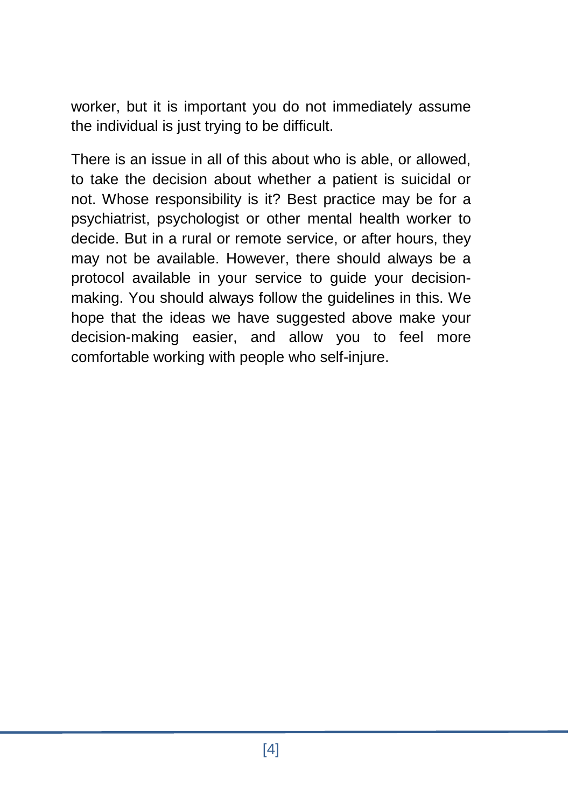worker, but it is important you do not immediately assume the individual is just trying to be difficult.

There is an issue in all of this about who is able, or allowed, to take the decision about whether a patient is suicidal or not. Whose responsibility is it? Best practice may be for a psychiatrist, psychologist or other mental health worker to decide. But in a rural or remote service, or after hours, they may not be available. However, there should always be a protocol available in your service to guide your decisionmaking. You should always follow the guidelines in this. We hope that the ideas we have suggested above make your decision-making easier, and allow you to feel more comfortable working with people who self-injure.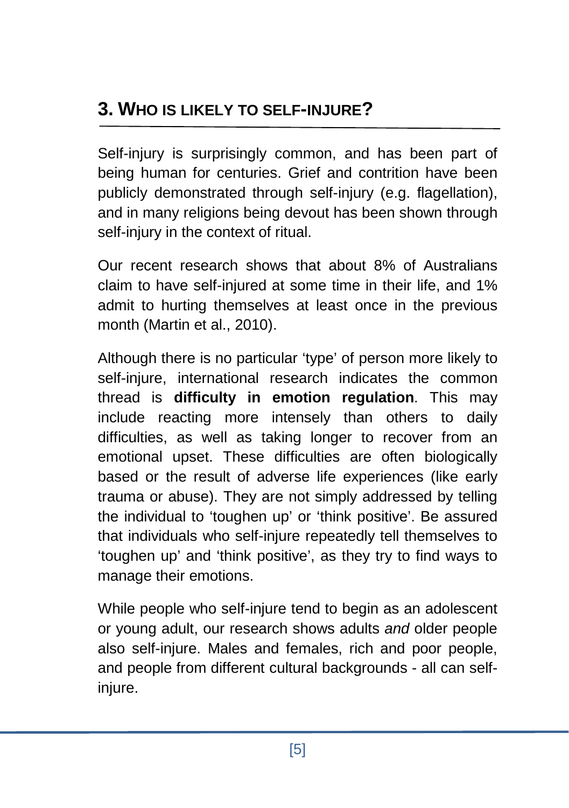Self-injury is surprisingly common, and has been part of being human for centuries. Grief and contrition have been publicly demonstrated through self-injury (e.g. flagellation), and in many religions being devout has been shown through self-injury in the context of ritual.

Our recent research shows that about 8% of Australians claim to have self-injured at some time in their life, and 1% admit to hurting themselves at least once in the previous month (Martin et al., 2010).

Although there is no particular 'type' of person more likely to self-injure, international research indicates the common thread is **difficulty in emotion regulation**. This may include reacting more intensely than others to daily difficulties, as well as taking longer to recover from an emotional upset. These difficulties are often biologically based or the result of adverse life experiences (like early trauma or abuse). They are not simply addressed by telling the individual to 'toughen up' or 'think positive'. Be assured that individuals who self-injure repeatedly tell themselves to 'toughen up' and 'think positive', as they try to find ways to manage their emotions.

While people who self-injure tend to begin as an adolescent or young adult, our research shows adults *and* older people also self-injure. Males and females, rich and poor people, and people from different cultural backgrounds - all can selfinjure.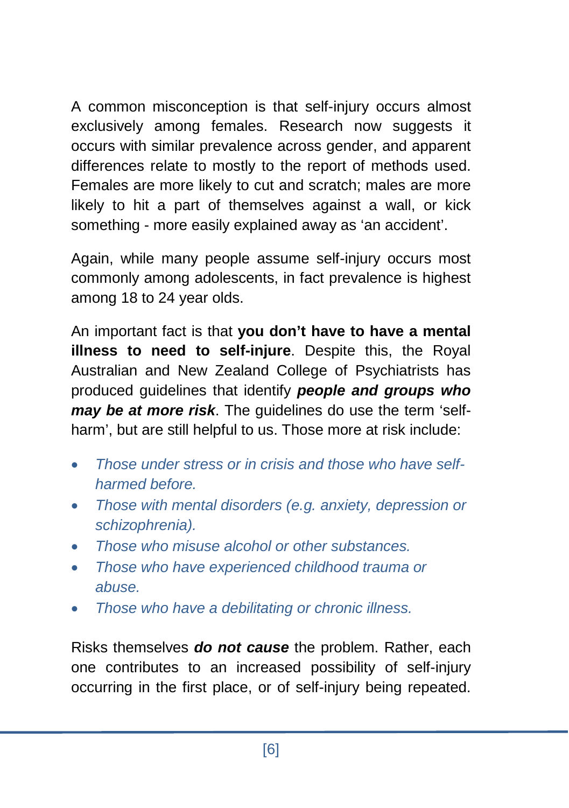A common misconception is that self-injury occurs almost exclusively among females. Research now suggests it occurs with similar prevalence across gender, and apparent differences relate to mostly to the report of methods used. Females are more likely to cut and scratch; males are more likely to hit a part of themselves against a wall, or kick something - more easily explained away as 'an accident'.

Again, while many people assume self-injury occurs most commonly among adolescents, in fact prevalence is highest among 18 to 24 year olds.

An important fact is that **you don't have to have a mental illness to need to self-injure**. Despite this, the Royal Australian and New Zealand College of Psychiatrists has produced guidelines that identify *people and groups who may be at more risk*. The guidelines do use the term 'selfharm', but are still helpful to us. Those more at risk include:

- *Those under stress or in crisis and those who have selfharmed before.*
- *Those with mental disorders (e.g. anxiety, depression or schizophrenia).*
- *Those who misuse alcohol or other substances.*
- *Those who have experienced childhood trauma or abuse.*
- *Those who have a debilitating or chronic illness.*

Risks themselves *do not cause* the problem. Rather, each one contributes to an increased possibility of self-injury occurring in the first place, or of self-injury being repeated.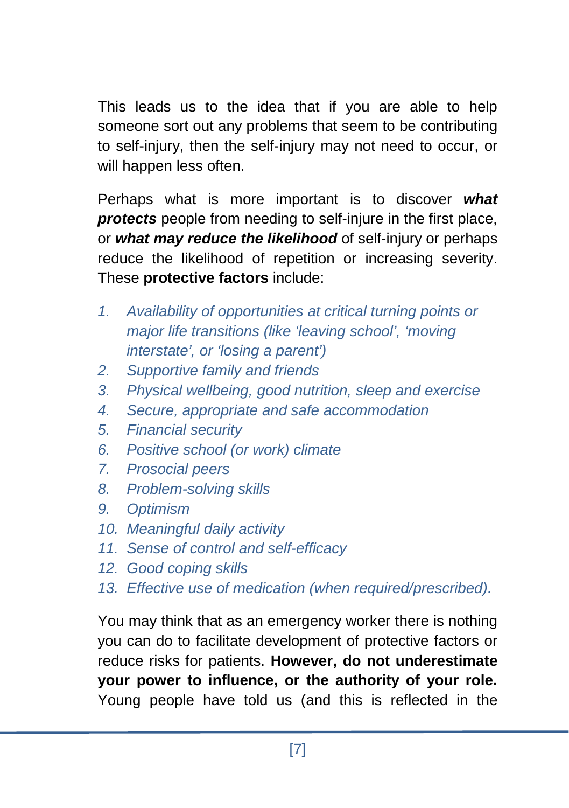This leads us to the idea that if you are able to help someone sort out any problems that seem to be contributing to self-injury, then the self-injury may not need to occur, or will happen less often.

Perhaps what is more important is to discover *what protects* people from needing to self-injure in the first place, or *what may reduce the likelihood* of self-injury or perhaps reduce the likelihood of repetition or increasing severity. These **protective factors** include:

- *1. Availability of opportunities at critical turning points or major life transitions (like 'leaving school', 'moving interstate', or 'losing a parent')*
- *2. Supportive family and friends*
- *3. Physical wellbeing, good nutrition, sleep and exercise*
- *4. Secure, appropriate and safe accommodation*
- *5. Financial security*
- *6. Positive school (or work) climate*
- *7. Prosocial peers*
- *8. Problem-solving skills*
- *9. Optimism*
- *10. Meaningful daily activity*
- *11. Sense of control and self-efficacy*
- *12. Good coping skills*
- *13. Effective use of medication (when required/prescribed).*

You may think that as an emergency worker there is nothing you can do to facilitate development of protective factors or reduce risks for patients. **However, do not underestimate your power to influence, or the authority of your role.** Young people have told us (and this is reflected in the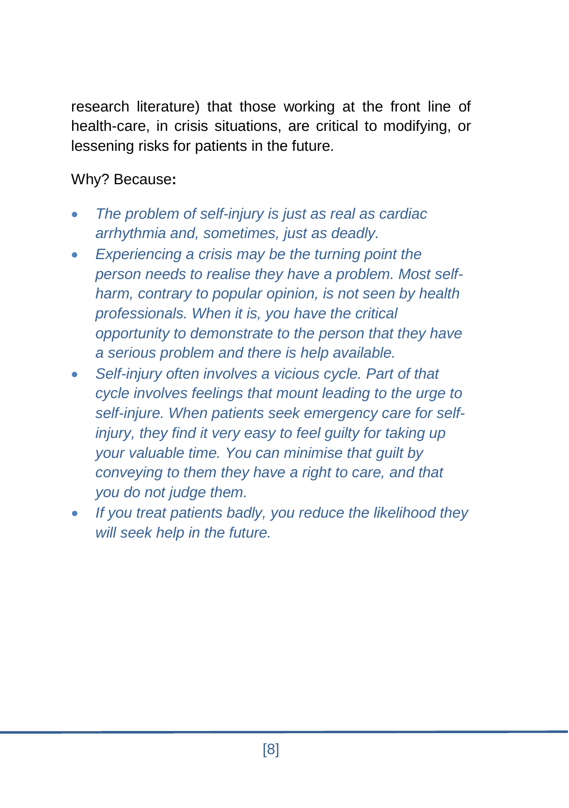research literature) that those working at the front line of health-care, in crisis situations, are critical to modifying, or lessening risks for patients in the future.

Why? Because**:**

- *The problem of self-injury is just as real as cardiac arrhythmia and, sometimes, just as deadly.*
- *Experiencing a crisis may be the turning point the person needs to realise they have a problem. Most selfharm, contrary to popular opinion, is not seen by health professionals. When it is, you have the critical opportunity to demonstrate to the person that they have a serious problem and there is help available.*
- *Self-injury often involves a vicious cycle. Part of that cycle involves feelings that mount leading to the urge to self-injure. When patients seek emergency care for selfinjury, they find it very easy to feel guilty for taking up your valuable time. You can minimise that guilt by conveying to them they have a right to care, and that you do not judge them.*
- *If you treat patients badly, you reduce the likelihood they will seek help in the future.*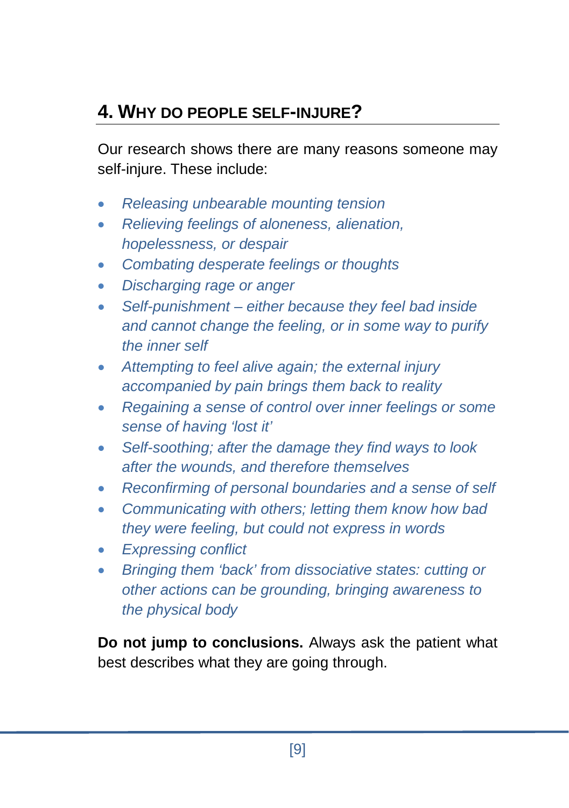# **4. WHY DO PEOPLE SELF-INJURE?**

Our research shows there are many reasons someone may self-injure. These include:

- *Releasing unbearable mounting tension*
- *Relieving feelings of aloneness, alienation, hopelessness, or despair*
- *Combating desperate feelings or thoughts*
- *Discharging rage or anger*
- *Self-punishment – either because they feel bad inside and cannot change the feeling, or in some way to purify the inner self*
- *Attempting to feel alive again; the external injury accompanied by pain brings them back to reality*
- *Regaining a sense of control over inner feelings or some sense of having 'lost it'*
- *Self-soothing; after the damage they find ways to look after the wounds, and therefore themselves*
- *Reconfirming of personal boundaries and a sense of self*
- *Communicating with others; letting them know how bad they were feeling, but could not express in words*
- *Expressing conflict*
- *Bringing them 'back' from dissociative states: cutting or other actions can be grounding, bringing awareness to the physical body*

**Do not jump to conclusions.** Always ask the patient what best describes what they are going through.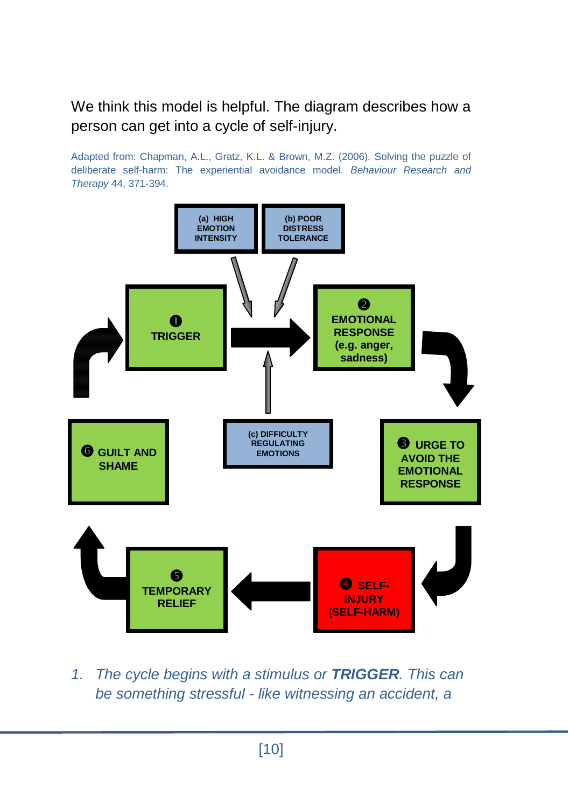We think this model is helpful. The diagram describes how a person can get into a cycle of self-injury.

Adapted from: Chapman, A.L., Gratz, K.L. & Brown, M.Z. (2006). Solving the puzzle of deliberate self-harm: The experiential avoidance model. *Behaviour Research and Therapy* 44, 371-394.



*1. The cycle begins with a stimulus or TRIGGER. This can be something stressful - like witnessing an accident, a*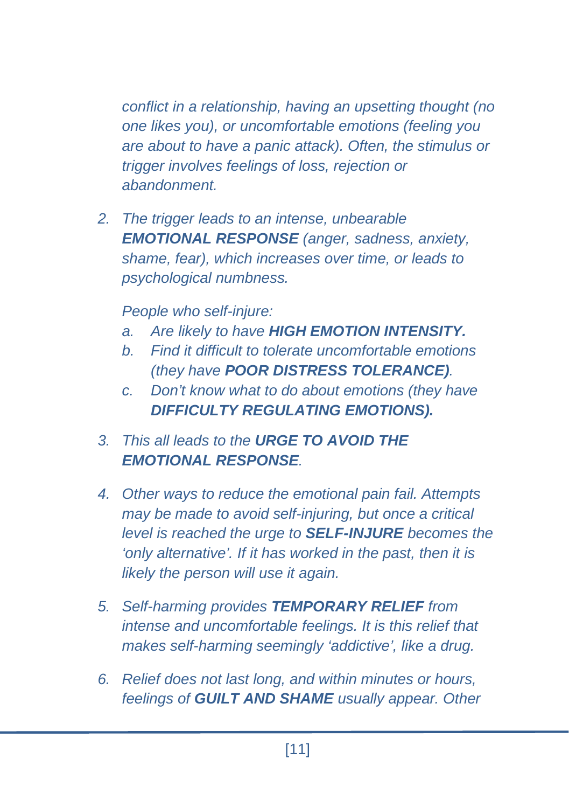*conflict in a relationship, having an upsetting thought (no one likes you), or uncomfortable emotions (feeling you are about to have a panic attack). Often, the stimulus or trigger involves feelings of loss, rejection or abandonment.* 

*2. The trigger leads to an intense, unbearable EMOTIONAL RESPONSE (anger, sadness, anxiety, shame, fear), which increases over time, or leads to psychological numbness.* 

*People who self-injure:*

- *a. Are likely to have HIGH EMOTION INTENSITY.*
- *b. Find it difficult to tolerate uncomfortable emotions (they have POOR DISTRESS TOLERANCE).*
- *c. Don't know what to do about emotions (they have DIFFICULTY REGULATING EMOTIONS).*
- *3. This all leads to the URGE TO AVOID THE EMOTIONAL RESPONSE.*
- *4. Other ways to reduce the emotional pain fail. Attempts may be made to avoid self-injuring, but once a critical level is reached the urge to SELF-INJURE becomes the 'only alternative'. If it has worked in the past, then it is likely the person will use it again.*
- *5. Self-harming provides TEMPORARY RELIEF from intense and uncomfortable feelings. It is this relief that makes self-harming seemingly 'addictive', like a drug.*
- *6. Relief does not last long, and within minutes or hours, feelings of GUILT AND SHAME usually appear. Other*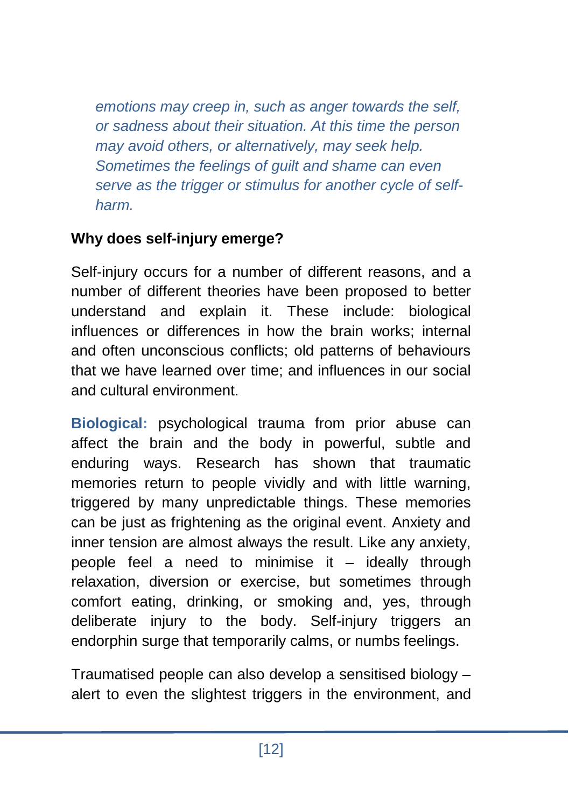*emotions may creep in, such as anger towards the self, or sadness about their situation. At this time the person may avoid others, or alternatively, may seek help. Sometimes the feelings of guilt and shame can even serve as the trigger or stimulus for another cycle of selfharm.* 

#### **Why does self-injury emerge?**

Self-injury occurs for a number of different reasons, and a number of different theories have been proposed to better understand and explain it. These include: biological influences or differences in how the brain works; internal and often unconscious conflicts; old patterns of behaviours that we have learned over time; and influences in our social and cultural environment.

**Biological:** psychological trauma from prior abuse can affect the brain and the body in powerful, subtle and enduring ways. Research has shown that traumatic memories return to people vividly and with little warning, triggered by many unpredictable things. These memories can be just as frightening as the original event. Anxiety and inner tension are almost always the result. Like any anxiety, people feel a need to minimise it – ideally through relaxation, diversion or exercise, but sometimes through comfort eating, drinking, or smoking and, yes, through deliberate injury to the body. Self-injury triggers an endorphin surge that temporarily calms, or numbs feelings.

Traumatised people can also develop a sensitised biology – alert to even the slightest triggers in the environment, and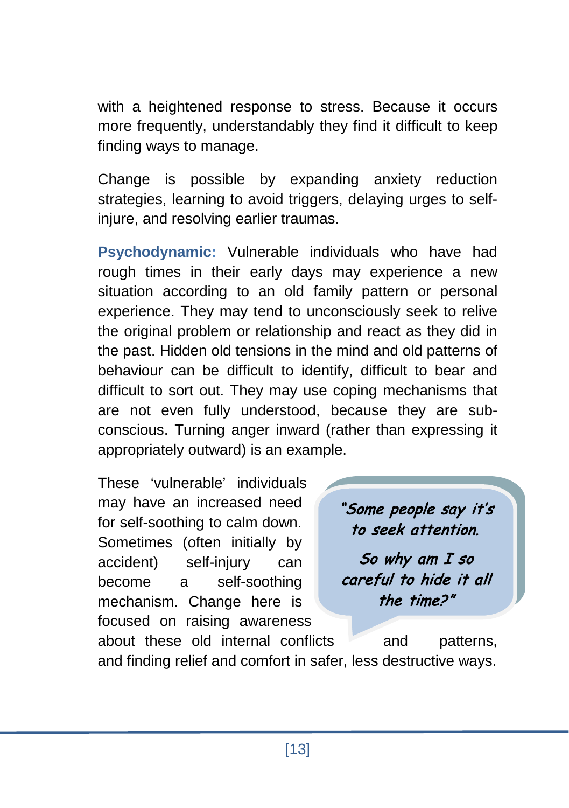with a heightened response to stress. Because it occurs more frequently, understandably they find it difficult to keep finding ways to manage.

Change is possible by expanding anxiety reduction strategies, learning to avoid triggers, delaying urges to selfinjure, and resolving earlier traumas.

**Psychodynamic:** Vulnerable individuals who have had rough times in their early days may experience a new situation according to an old family pattern or personal experience. They may tend to unconsciously seek to relive the original problem or relationship and react as they did in the past. Hidden old tensions in the mind and old patterns of behaviour can be difficult to identify, difficult to bear and difficult to sort out. They may use coping mechanisms that are not even fully understood, because they are subconscious. Turning anger inward (rather than expressing it appropriately outward) is an example.

These 'vulnerable' individuals may have an increased need for self-soothing to calm down. Sometimes (often initially by accident) self-injury can become a self-soothing mechanism. Change here is focused on raising awareness

"Some people say it's to seek attention. So why am I so careful to hide it all the time?"

about these old internal conflicts and patterns, and finding relief and comfort in safer, less destructive ways.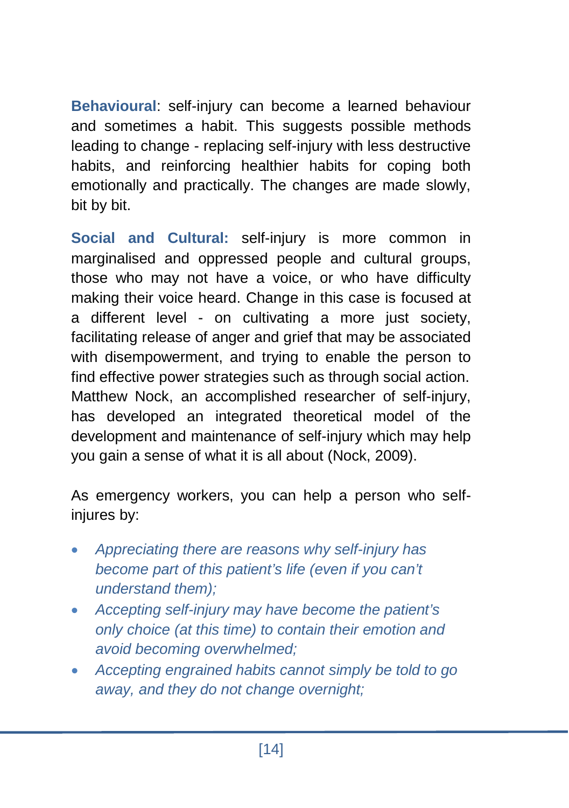**Behavioural**: self-injury can become a learned behaviour and sometimes a habit. This suggests possible methods leading to change - replacing self-injury with less destructive habits, and reinforcing healthier habits for coping both emotionally and practically. The changes are made slowly, bit by bit.

**Social and Cultural:** self-injury is more common in marginalised and oppressed people and cultural groups, those who may not have a voice, or who have difficulty making their voice heard. Change in this case is focused at a different level - on cultivating a more just society, facilitating release of anger and grief that may be associated with disempowerment, and trying to enable the person to find effective power strategies such as through social action. Matthew Nock, an accomplished researcher of self-injury, has developed an integrated theoretical model of the development and maintenance of self-injury which may help you gain a sense of what it is all about (Nock, 2009).

As emergency workers, you can help a person who selfinjures by:

- *Appreciating there are reasons why self-injury has become part of this patient's life (even if you can't understand them);*
- *Accepting self-injury may have become the patient's only choice (at this time) to contain their emotion and avoid becoming overwhelmed;*
- *Accepting engrained habits cannot simply be told to go away, and they do not change overnight;*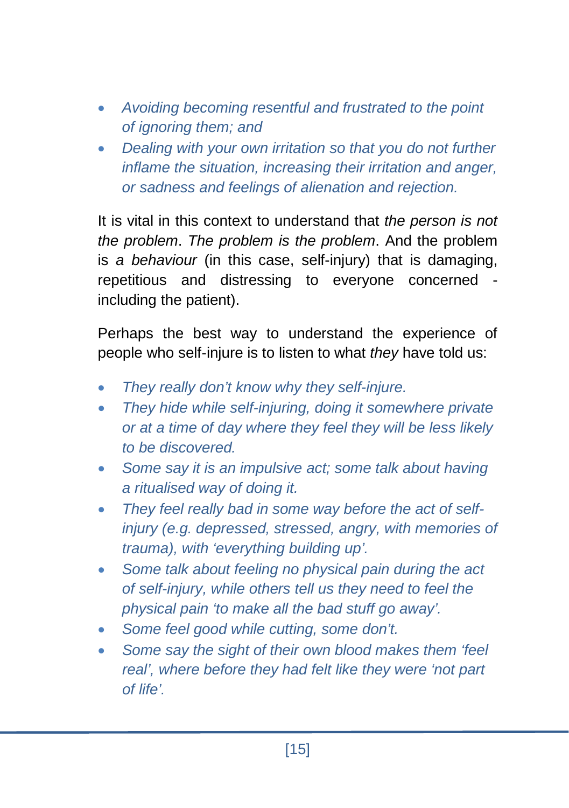- *Avoiding becoming resentful and frustrated to the point of ignoring them; and*
- *Dealing with your own irritation so that you do not further inflame the situation, increasing their irritation and anger, or sadness and feelings of alienation and rejection.*

It is vital in this context to understand that *the person is not the problem*. *The problem is the problem*. And the problem is *a behaviour* (in this case, self-injury) that is damaging, repetitious and distressing to everyone concerned including the patient).

Perhaps the best way to understand the experience of people who self-injure is to listen to what *they* have told us:

- *They really don't know why they self-injure.*
- *They hide while self-injuring, doing it somewhere private or at a time of day where they feel they will be less likely to be discovered.*
- *Some say it is an impulsive act; some talk about having a ritualised way of doing it.*
- *They feel really bad in some way before the act of selfinjury (e.g. depressed, stressed, angry, with memories of trauma), with 'everything building up'.*
- *Some talk about feeling no physical pain during the act of self-injury, while others tell us they need to feel the physical pain 'to make all the bad stuff go away'.*
- *Some feel good while cutting, some don't.*
- *Some say the sight of their own blood makes them 'feel real', where before they had felt like they were 'not part of life'.*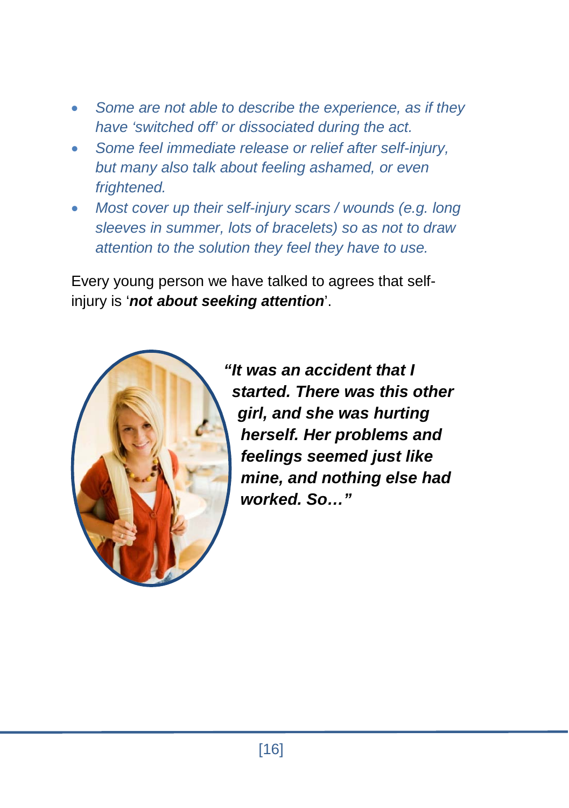- *Some are not able to describe the experience, as if they have 'switched off' or dissociated during the act.*
- *Some feel immediate release or relief after self-injury, but many also talk about feeling ashamed, or even frightened.*
- *Most cover up their self-injury scars / wounds (e.g. long sleeves in summer, lots of bracelets) so as not to draw attention to the solution they feel they have to use.*

Every young person we have talked to agrees that selfinjury is '*not about seeking attention*'.



*"It was an accident that I started. There was this other girl, and she was hurting herself. Her problems and feelings seemed just like mine, and nothing else had worked. So…"*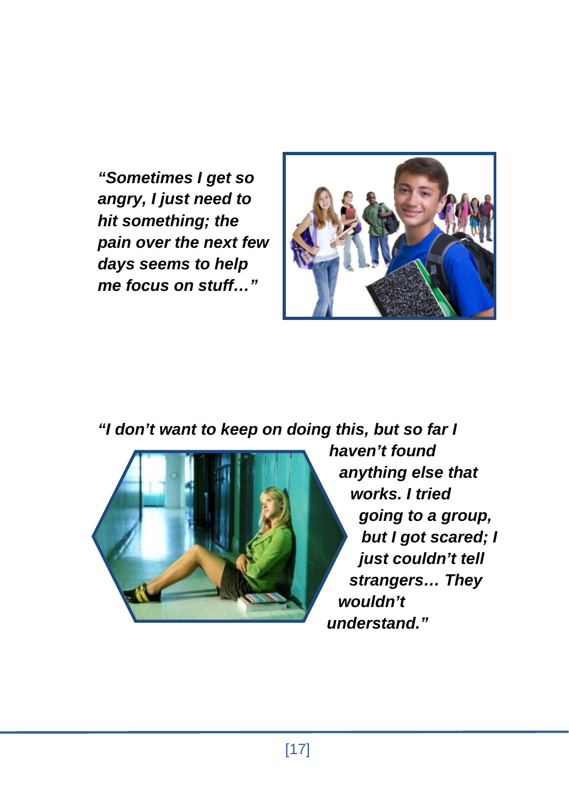*"Sometimes I get so angry, I just need to hit something; the pain over the next few days seems to help me focus on stuff…"*



*"I don't want to keep on doing this, but so far I* 



*haven't found anything else that works. I tried going to a group, but I got scared; I just couldn't tell strangers… They wouldn't understand."*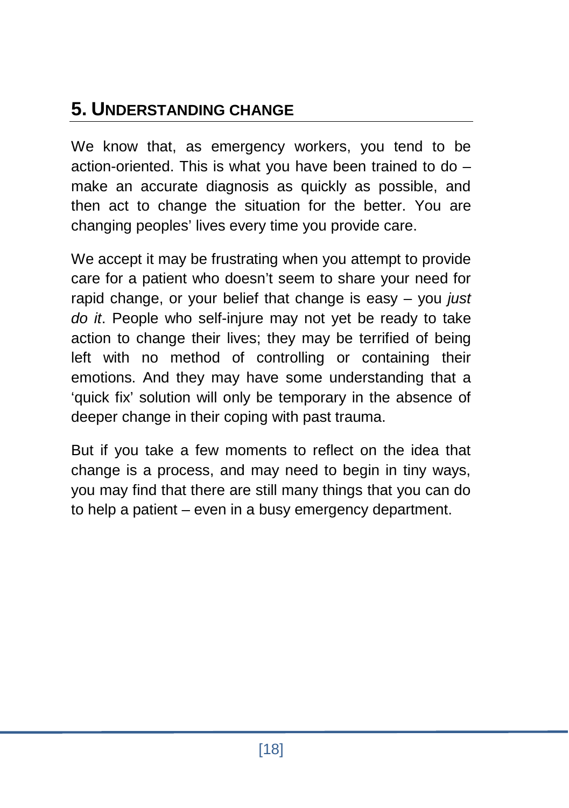# **5. UNDERSTANDING CHANGE**

We know that, as emergency workers, you tend to be action-oriented. This is what you have been trained to do – make an accurate diagnosis as quickly as possible, and then act to change the situation for the better. You are changing peoples' lives every time you provide care.

We accept it may be frustrating when you attempt to provide care for a patient who doesn't seem to share your need for rapid change, or your belief that change is easy – you *just do it*. People who self-injure may not yet be ready to take action to change their lives; they may be terrified of being left with no method of controlling or containing their emotions. And they may have some understanding that a 'quick fix' solution will only be temporary in the absence of deeper change in their coping with past trauma.

But if you take a few moments to reflect on the idea that change is a process, and may need to begin in tiny ways, you may find that there are still many things that you can do to help a patient – even in a busy emergency department.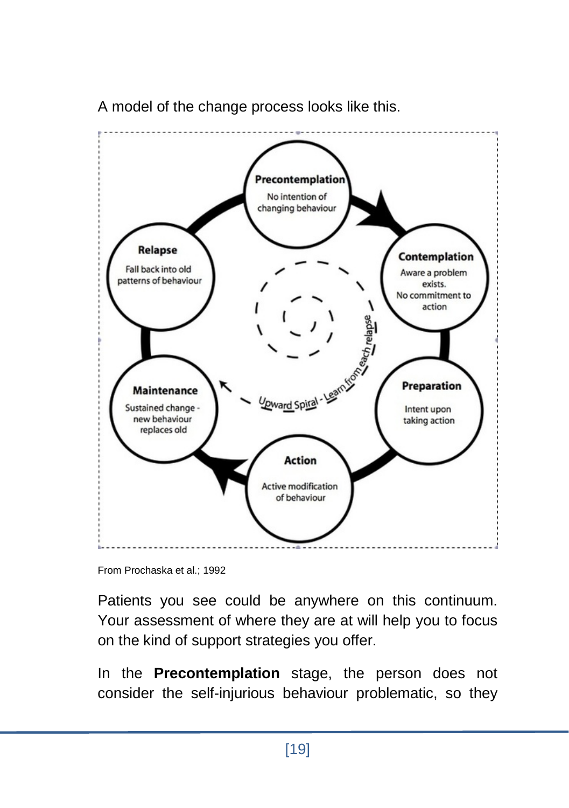

A model of the change process looks like this.

Patients you see could be anywhere on this continuum. Your assessment of where they are at will help you to focus on the kind of support strategies you offer.

In the **Precontemplation** stage, the person does not consider the self-injurious behaviour problematic, so they

From Prochaska et al.; 1992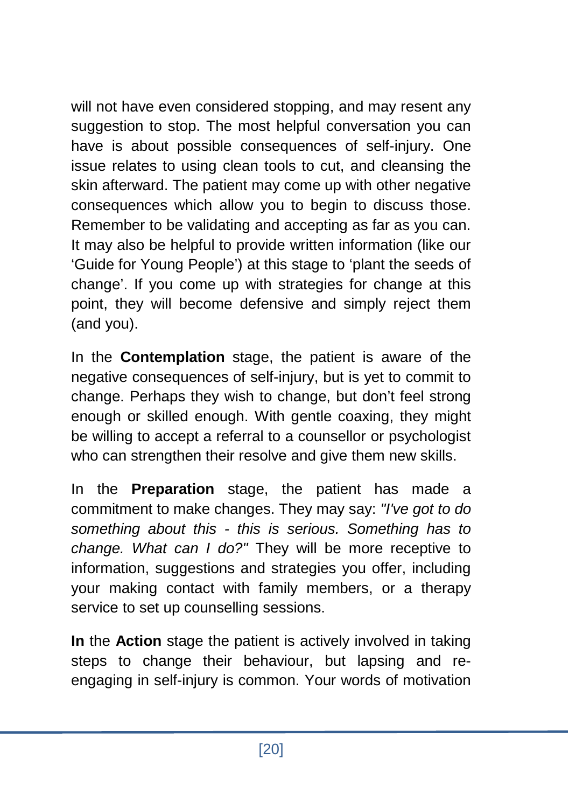will not have even considered stopping, and may resent any suggestion to stop. The most helpful conversation you can have is about possible consequences of self-injury. One issue relates to using clean tools to cut, and cleansing the skin afterward. The patient may come up with other negative consequences which allow you to begin to discuss those. Remember to be validating and accepting as far as you can. It may also be helpful to provide written information (like our 'Guide for Young People') at this stage to 'plant the seeds of change'. If you come up with strategies for change at this point, they will become defensive and simply reject them (and you).

In the **Contemplation** stage, the patient is aware of the negative consequences of self-injury, but is yet to commit to change. Perhaps they wish to change, but don't feel strong enough or skilled enough. With gentle coaxing, they might be willing to accept a referral to a counsellor or psychologist who can strengthen their resolve and give them new skills.

In the **Preparation** stage, the patient has made a commitment to make changes. They may say: *"I've got to do something about this - this is serious. Something has to change. What can I do?"* They will be more receptive to information, suggestions and strategies you offer, including your making contact with family members, or a therapy service to set up counselling sessions.

**In** the **Action** stage the patient is actively involved in taking steps to change their behaviour, but lapsing and reengaging in self-injury is common. Your words of motivation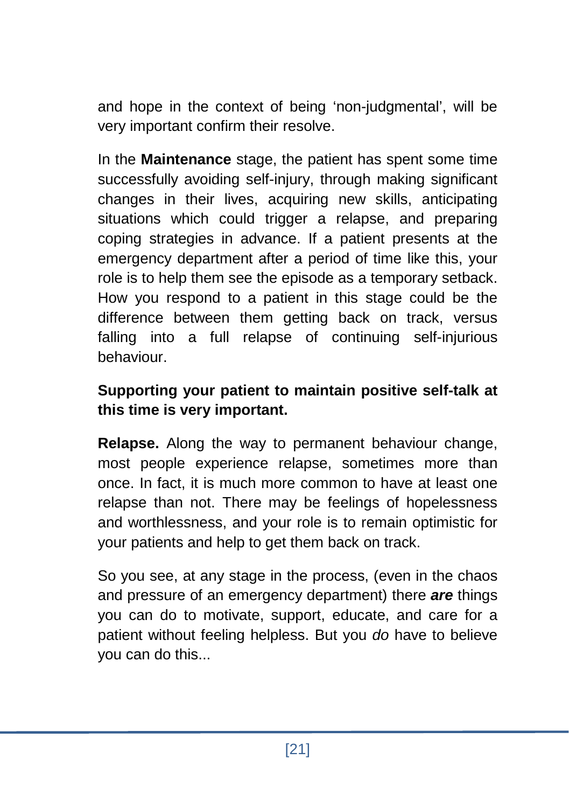and hope in the context of being 'non-judgmental', will be very important confirm their resolve.

In the **Maintenance** stage, the patient has spent some time successfully avoiding self-injury, through making significant changes in their lives, acquiring new skills, anticipating situations which could trigger a relapse, and preparing coping strategies in advance. If a patient presents at the emergency department after a period of time like this, your role is to help them see the episode as a temporary setback. How you respond to a patient in this stage could be the difference between them getting back on track, versus falling into a full relapse of continuing self-injurious behaviour.

#### **Supporting your patient to maintain positive self-talk at this time is very important.**

**Relapse.** Along the way to permanent behaviour change, most people experience relapse, sometimes more than once. In fact, it is much more common to have at least one relapse than not. There may be feelings of hopelessness and worthlessness, and your role is to remain optimistic for your patients and help to get them back on track.

So you see, at any stage in the process, (even in the chaos and pressure of an emergency department) there *are* things you can do to motivate, support, educate, and care for a patient without feeling helpless. But you *do* have to believe you can do this...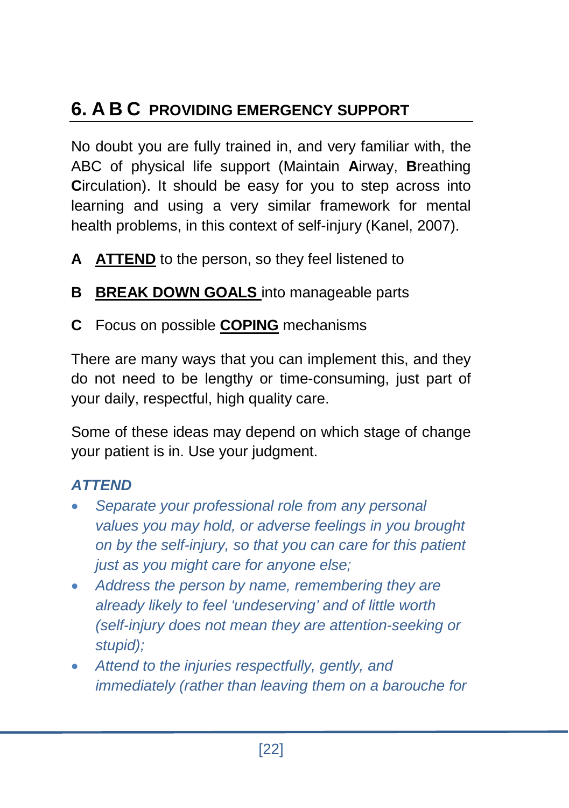# **6. A B C PROVIDING EMERGENCY SUPPORT**

No doubt you are fully trained in, and very familiar with, the ABC of physical life support (Maintain **A**irway, **B**reathing **C**irculation). It should be easy for you to step across into learning and using a very similar framework for mental health problems, in this context of self-injury (Kanel, 2007).

- **A ATTEND** to the person, so they feel listened to
- **B BREAK DOWN GOALS** into manageable parts
- **C** Focus on possible **COPING** mechanisms

There are many ways that you can implement this, and they do not need to be lengthy or time-consuming, just part of your daily, respectful, high quality care.

Some of these ideas may depend on which stage of change your patient is in. Use your judgment.

#### *ATTEND*

- *Separate your professional role from any personal values you may hold, or adverse feelings in you brought on by the self-injury, so that you can care for this patient just as you might care for anyone else;*
- *Address the person by name, remembering they are already likely to feel 'undeserving' and of little worth (self-injury does not mean they are attention-seeking or stupid);*
- *Attend to the injuries respectfully, gently, and immediately (rather than leaving them on a barouche for*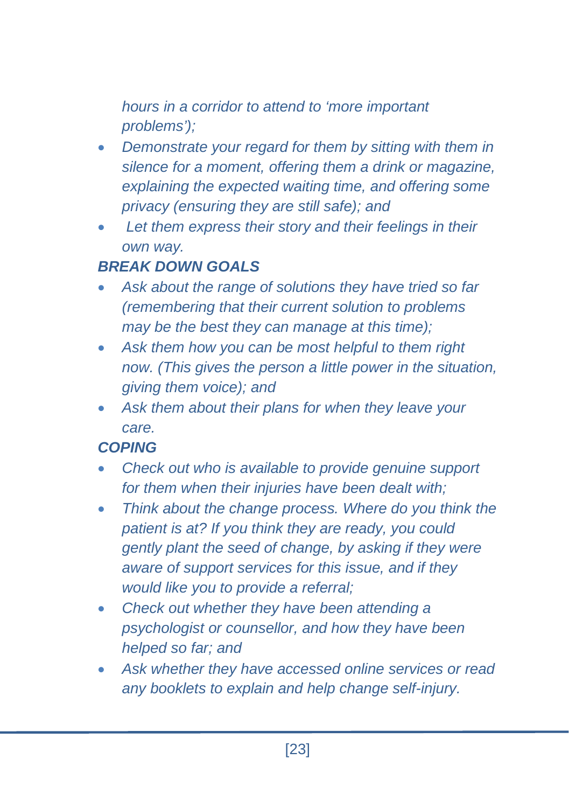*hours in a corridor to attend to 'more important problems');*

- *Demonstrate your regard for them by sitting with them in silence for a moment, offering them a drink or magazine, explaining the expected waiting time, and offering some privacy (ensuring they are still safe); and*
- *Let them express their story and their feelings in their own way.*

## *BREAK DOWN GOALS*

- *Ask about the range of solutions they have tried so far (remembering that their current solution to problems may be the best they can manage at this time);*
- *Ask them how you can be most helpful to them right now. (This gives the person a little power in the situation, giving them voice); and*
- *Ask them about their plans for when they leave your care.*

#### *COPING*

- *Check out who is available to provide genuine support for them when their injuries have been dealt with;*
- *Think about the change process. Where do you think the patient is at? If you think they are ready, you could gently plant the seed of change, by asking if they were aware of support services for this issue, and if they would like you to provide a referral;*
- *Check out whether they have been attending a psychologist or counsellor, and how they have been helped so far; and*
- *Ask whether they have accessed online services or read any booklets to explain and help change self-injury.*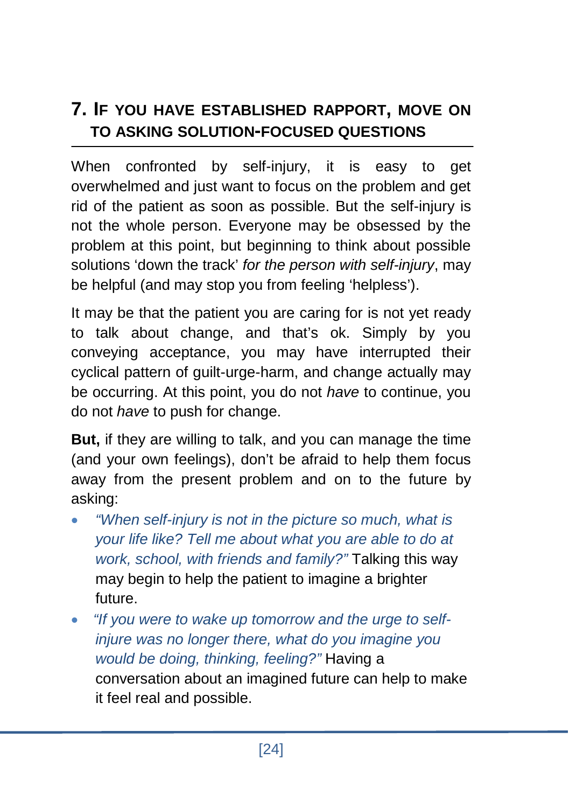## **7. IF YOU HAVE ESTABLISHED RAPPORT, MOVE ON TO ASKING SOLUTION-FOCUSED QUESTIONS**

When confronted by self-injury, it is easy to get overwhelmed and just want to focus on the problem and get rid of the patient as soon as possible. But the self-injury is not the whole person. Everyone may be obsessed by the problem at this point, but beginning to think about possible solutions 'down the track' *for the person with self-injury*, may be helpful (and may stop you from feeling 'helpless').

It may be that the patient you are caring for is not yet ready to talk about change, and that's ok. Simply by you conveying acceptance, you may have interrupted their cyclical pattern of guilt-urge-harm, and change actually may be occurring. At this point, you do not *have* to continue, you do not *have* to push for change.

**But,** if they are willing to talk, and you can manage the time (and your own feelings), don't be afraid to help them focus away from the present problem and on to the future by asking:

- *"When self-injury is not in the picture so much, what is your life like? Tell me about what you are able to do at work, school, with friends and family?"* Talking this way may begin to help the patient to imagine a brighter future.
- • *"If you were to wake up tomorrow and the urge to selfinjure was no longer there, what do you imagine you would be doing, thinking, feeling?"* Having a conversation about an imagined future can help to make it feel real and possible.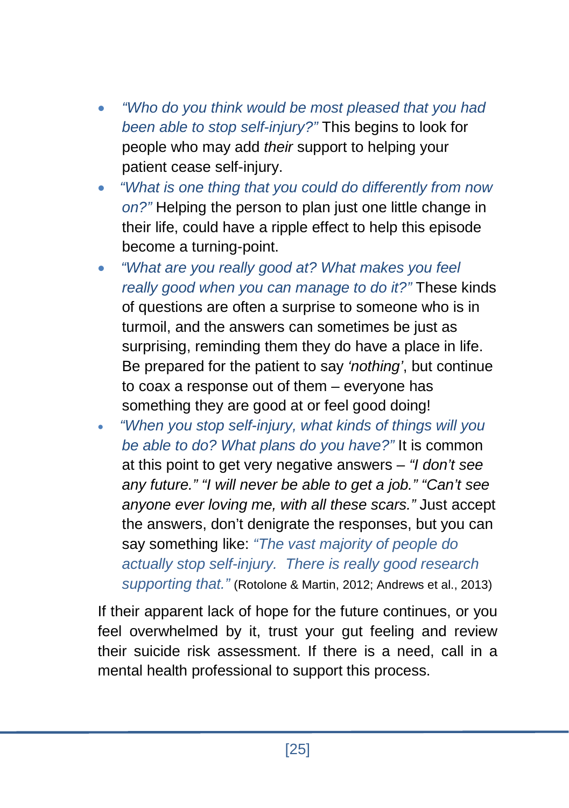- *"Who do you think would be most pleased that you had been able to stop self-injury?"* This begins to look for people who may add *their* support to helping your patient cease self-injury.
- • *"What is one thing that you could do differently from now on?"* Helping the person to plan just one little change in their life, could have a ripple effect to help this episode become a turning-point.
- *"What are you really good at? What makes you feel really good when you can manage to do it?"* These kinds of questions are often a surprise to someone who is in turmoil, and the answers can sometimes be just as surprising, reminding them they do have a place in life. Be prepared for the patient to say *'nothing'*, but continue to coax a response out of them – everyone has something they are good at or feel good doing!
- • *"When you stop self-injury, what kinds of things will you be able to do? What plans do you have?"* It is common at this point to get very negative answers – *"I don't see any future." "I will never be able to get a job." "Can't see anyone ever loving me, with all these scars."* Just accept the answers, don't denigrate the responses, but you can say something like: *"The vast majority of people do actually stop self-injury. There is really good research supporting that."* (Rotolone & Martin, 2012; Andrews et al., 2013)

If their apparent lack of hope for the future continues, or you feel overwhelmed by it, trust your gut feeling and review their suicide risk assessment. If there is a need, call in a mental health professional to support this process.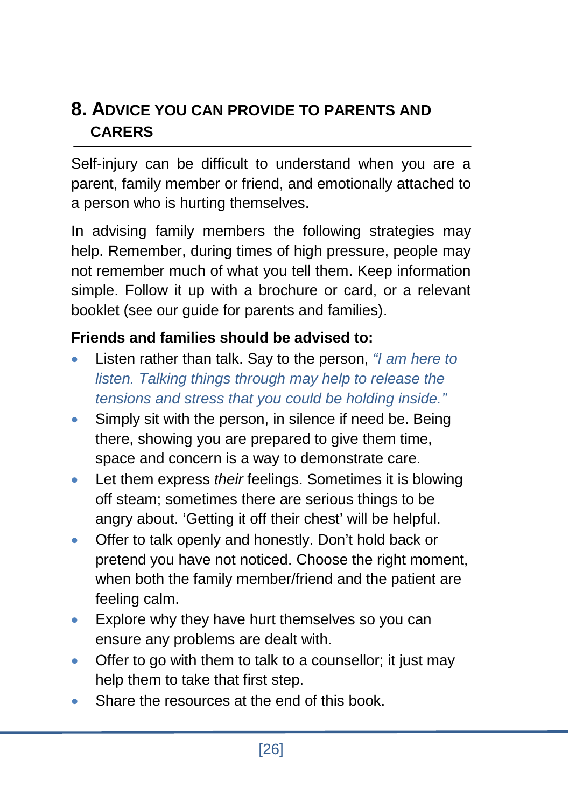## **8. ADVICE YOU CAN PROVIDE TO PARENTS AND CARERS**

Self-injury can be difficult to understand when you are a parent, family member or friend, and emotionally attached to a person who is hurting themselves.

In advising family members the following strategies may help. Remember, during times of high pressure, people may not remember much of what you tell them. Keep information simple. Follow it up with a brochure or card, or a relevant booklet (see our guide for parents and families).

#### **Friends and families should be advised to:**

- Listen rather than talk. Say to the person, *"I am here to listen. Talking things through may help to release the tensions and stress that you could be holding inside."*
- Simply sit with the person, in silence if need be. Being there, showing you are prepared to give them time, space and concern is a way to demonstrate care.
- Let them express *their* feelings. Sometimes it is blowing off steam; sometimes there are serious things to be angry about. 'Getting it off their chest' will be helpful.
- Offer to talk openly and honestly. Don't hold back or pretend you have not noticed. Choose the right moment, when both the family member/friend and the patient are feeling calm.
- Explore why they have hurt themselves so you can ensure any problems are dealt with.
- Offer to go with them to talk to a counsellor; it just may help them to take that first step.
- Share the resources at the end of this book.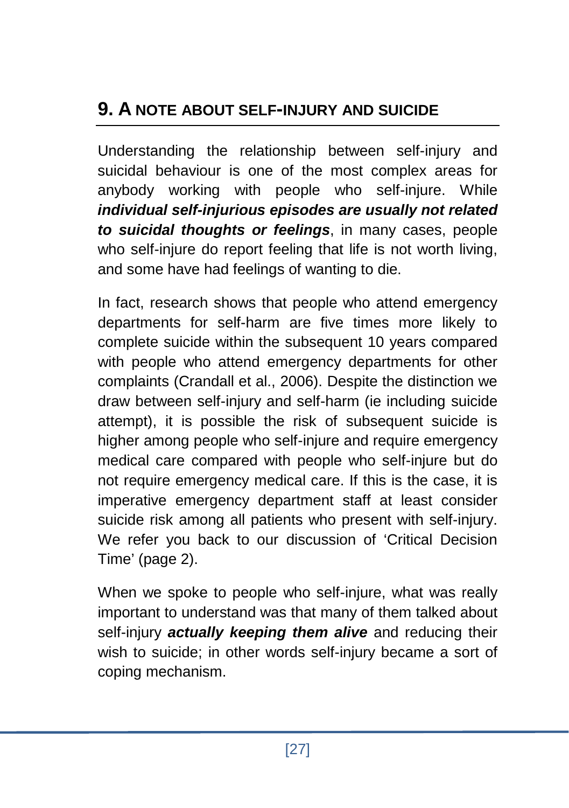## **9. A NOTE ABOUT SELF-INJURY AND SUICIDE**

Understanding the relationship between self-injury and suicidal behaviour is one of the most complex areas for anybody working with people who self-injure. While *individual self-injurious episodes are usually not related to suicidal thoughts or feelings*, in many cases, people who self-injure do report feeling that life is not worth living, and some have had feelings of wanting to die.

In fact, research shows that people who attend emergency departments for self-harm are five times more likely to complete suicide within the subsequent 10 years compared with people who attend emergency departments for other complaints (Crandall et al., 2006). Despite the distinction we draw between self-injury and self-harm (ie including suicide attempt), it is possible the risk of subsequent suicide is higher among people who self-injure and require emergency medical care compared with people who self-injure but do not require emergency medical care. If this is the case, it is imperative emergency department staff at least consider suicide risk among all patients who present with self-injury. We refer you back to our discussion of 'Critical Decision Time' (page 2).

When we spoke to people who self-injure, what was really important to understand was that many of them talked about self-injury *actually keeping them alive* and reducing their wish to suicide; in other words self-injury became a sort of coping mechanism.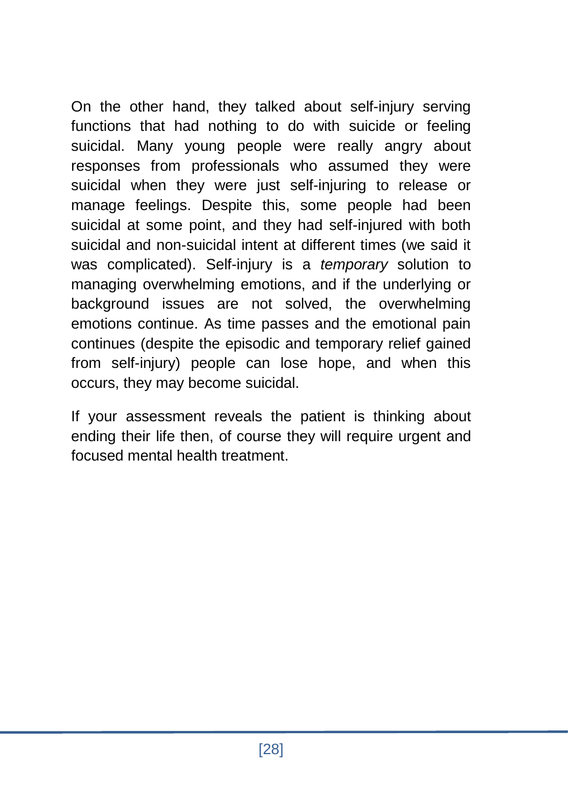On the other hand, they talked about self-injury serving functions that had nothing to do with suicide or feeling suicidal. Many young people were really angry about responses from professionals who assumed they were suicidal when they were just self-injuring to release or manage feelings. Despite this, some people had been suicidal at some point, and they had self-injured with both suicidal and non-suicidal intent at different times (we said it was complicated). Self-injury is a *temporary* solution to managing overwhelming emotions, and if the underlying or background issues are not solved, the overwhelming emotions continue. As time passes and the emotional pain continues (despite the episodic and temporary relief gained from self-injury) people can lose hope, and when this occurs, they may become suicidal.

If your assessment reveals the patient is thinking about ending their life then, of course they will require urgent and focused mental health treatment.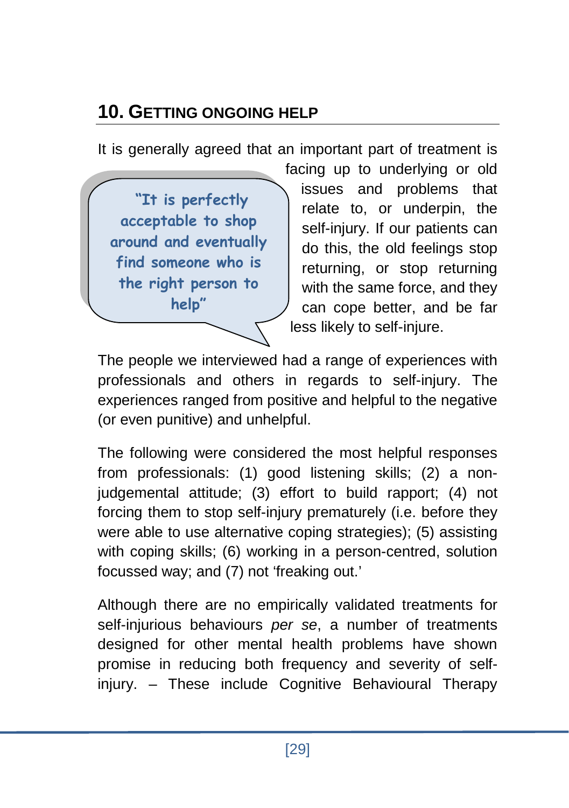# **10. GETTING ONGOING HELP**

It is generally agreed that an important part of treatment is

**"It is perfectly acceptable to shop around and eventually find someone who is the right person to help"**

facing up to underlying or old issues and problems that relate to, or underpin, the self-injury. If our patients can do this, the old feelings stop returning, or stop returning with the same force, and they can cope better, and be far less likely to self-injure.

The people we interviewed had a range of experiences with professionals and others in regards to self-injury. The experiences ranged from positive and helpful to the negative (or even punitive) and unhelpful.

The following were considered the most helpful responses from professionals: (1) good listening skills; (2) a noniudgemental attitude; (3) effort to build rapport; (4) not forcing them to stop self-injury prematurely (i.e. before they were able to use alternative coping strategies); (5) assisting with coping skills; (6) working in a person-centred, solution focussed way; and (7) not 'freaking out.'

Although there are no empirically validated treatments for self-injurious behaviours *per se*, a number of treatments designed for other mental health problems have shown promise in reducing both frequency and severity of selfinjury. – These include Cognitive Behavioural Therapy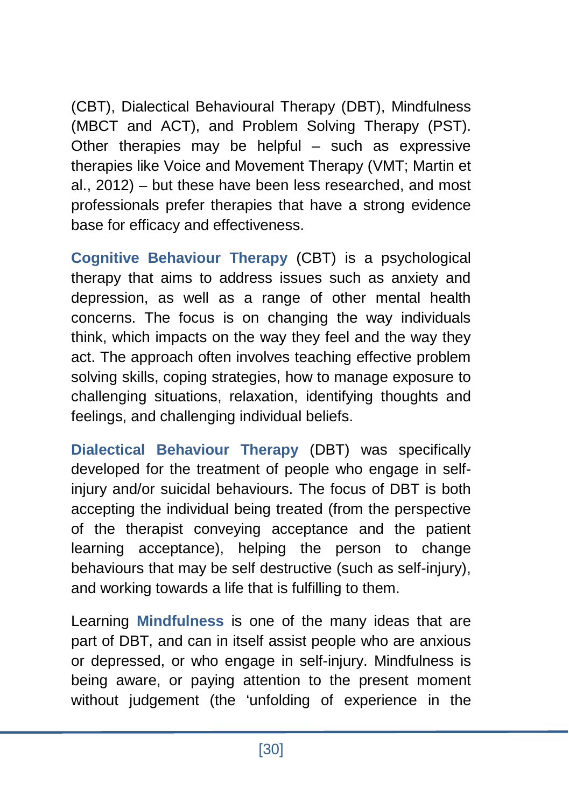(CBT), Dialectical Behavioural Therapy (DBT), Mindfulness (MBCT and ACT), and Problem Solving Therapy (PST). Other therapies may be helpful – such as expressive therapies like Voice and Movement Therapy (VMT; Martin et al., 2012) – but these have been less researched, and most professionals prefer therapies that have a strong evidence base for efficacy and effectiveness.

**Cognitive Behaviour Therapy** (CBT) is a psychological therapy that aims to address issues such as anxiety and depression, as well as a range of other mental health concerns. The focus is on changing the way individuals think, which impacts on the way they feel and the way they act. The approach often involves teaching effective problem solving skills, coping strategies, how to manage exposure to challenging situations, relaxation, identifying thoughts and feelings, and challenging individual beliefs.

**Dialectical Behaviour Therapy** (DBT) was specifically developed for the treatment of people who engage in selfinjury and/or suicidal behaviours. The focus of DBT is both accepting the individual being treated (from the perspective of the therapist conveying acceptance and the patient learning acceptance), helping the person to change behaviours that may be self destructive (such as self-injury), and working towards a life that is fulfilling to them.

Learning **Mindfulness** is one of the many ideas that are part of DBT, and can in itself assist people who are anxious or depressed, or who engage in self-injury. Mindfulness is being aware, or paying attention to the present moment without judgement (the 'unfolding of experience in the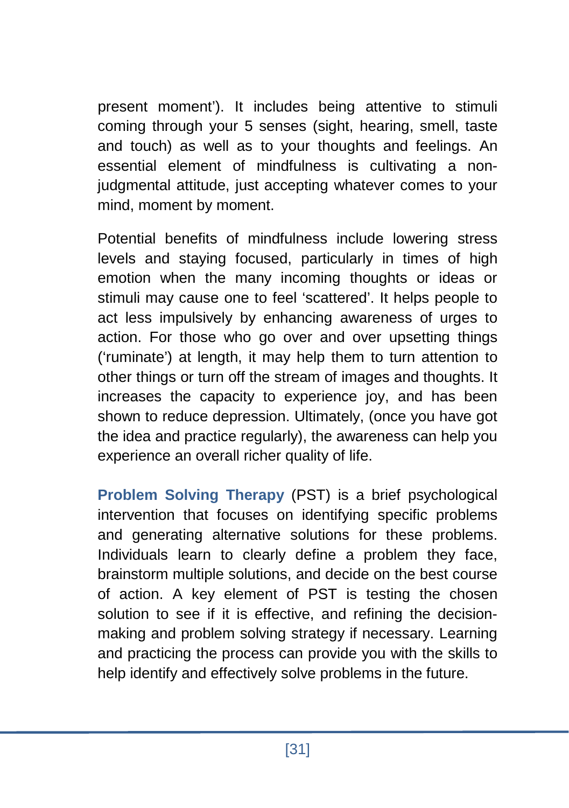present moment'). It includes being attentive to stimuli coming through your 5 senses (sight, hearing, smell, taste and touch) as well as to your thoughts and feelings. An essential element of mindfulness is cultivating a nonjudgmental attitude, just accepting whatever comes to your mind, moment by moment.

Potential benefits of mindfulness include lowering stress levels and staying focused, particularly in times of high emotion when the many incoming thoughts or ideas or stimuli may cause one to feel 'scattered'. It helps people to act less impulsively by enhancing awareness of urges to action. For those who go over and over upsetting things ('ruminate') at length, it may help them to turn attention to other things or turn off the stream of images and thoughts. It increases the capacity to experience joy, and has been shown to reduce depression. Ultimately, (once you have got the idea and practice regularly), the awareness can help you experience an overall richer quality of life.

**Problem Solving Therapy** (PST) is a brief psychological intervention that focuses on identifying specific problems and generating alternative solutions for these problems. Individuals learn to clearly define a problem they face, brainstorm multiple solutions, and decide on the best course of action. A key element of PST is testing the chosen solution to see if it is effective, and refining the decisionmaking and problem solving strategy if necessary. Learning and practicing the process can provide you with the skills to help identify and effectively solve problems in the future.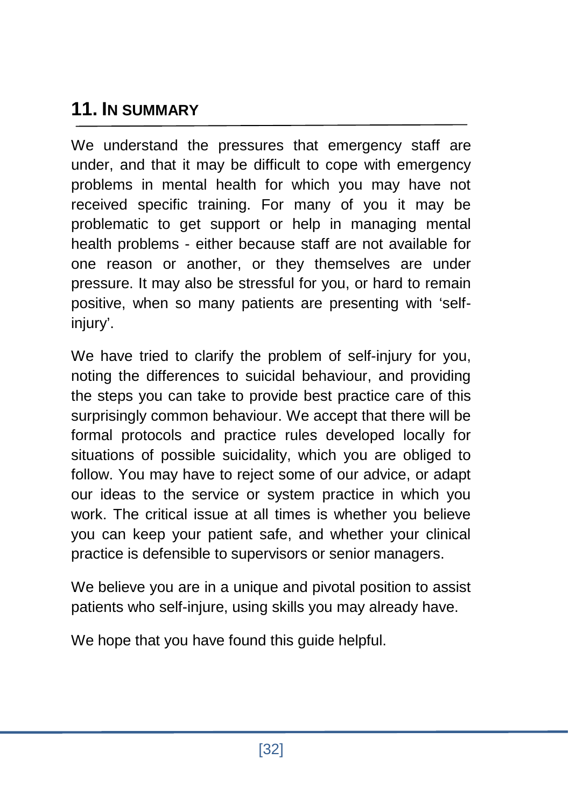## **11. IN SUMMARY**

We understand the pressures that emergency staff are under, and that it may be difficult to cope with emergency problems in mental health for which you may have not received specific training. For many of you it may be problematic to get support or help in managing mental health problems - either because staff are not available for one reason or another, or they themselves are under pressure. It may also be stressful for you, or hard to remain positive, when so many patients are presenting with 'selfinjury'.

We have tried to clarify the problem of self-injury for you, noting the differences to suicidal behaviour, and providing the steps you can take to provide best practice care of this surprisingly common behaviour. We accept that there will be formal protocols and practice rules developed locally for situations of possible suicidality, which you are obliged to follow. You may have to reject some of our advice, or adapt our ideas to the service or system practice in which you work. The critical issue at all times is whether you believe you can keep your patient safe, and whether your clinical practice is defensible to supervisors or senior managers.

We believe you are in a unique and pivotal position to assist patients who self-injure, using skills you may already have.

We hope that you have found this quide helpful.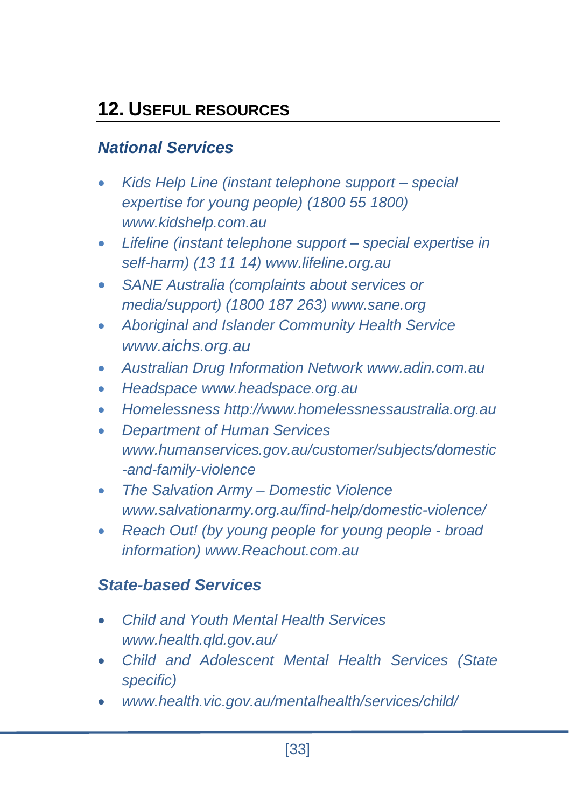## **12. USEFUL RESOURCES**

## *National Services*

- *Kids Help Line (instant telephone support – special expertise for young people) (1800 55 1800) [www.kidshelp.com.au](http://www.kidshelp.com.au/#_blank)*
- *Lifeline (instant telephone support – special expertise in self-harm) (13 11 14) www.lifeline.org.au*
- *SANE Australia (complaints about services or media/support) (1800 187 263) www.sane.org*
- *Aboriginal and Islander Community Health Service www.aichs.org.au*
- *Australian Drug Information Network [www.adin.com.au](http://www.adin.com.au/)*
- *Headspace [www.headspace.org.au](http://www.headspace.org.au/)*
- *Homelessness http://www.homelessnessaustralia.org.au*
- *Department of Human Services [www.humanservices.gov.au/customer/subjects/domestic](http://www.humanservices.gov.au/customer/subjects/domestic-and-family-violence) [-and-family-violence](http://www.humanservices.gov.au/customer/subjects/domestic-and-family-violence)*
- *The Salvation Army – Domestic Violence [www.salvationarmy.org.au/find-help/domestic-violence/](http://www.salvationarmy.org.au/find-help/domestic-violence/)*
- *Reach Out! (by young people for young people - broad information) [www.Reachout.com.au](http://www.reachout.com.au/)*

## *State-based Services*

- *Child and Youth Mental Health Services [www.health.qld.gov.au/](http://www.health.qld.gov.au/)*
- *Child and Adolescent Mental Health Services (State specific)*
- *www.health.vic.gov.au/mentalhealth/services/child/*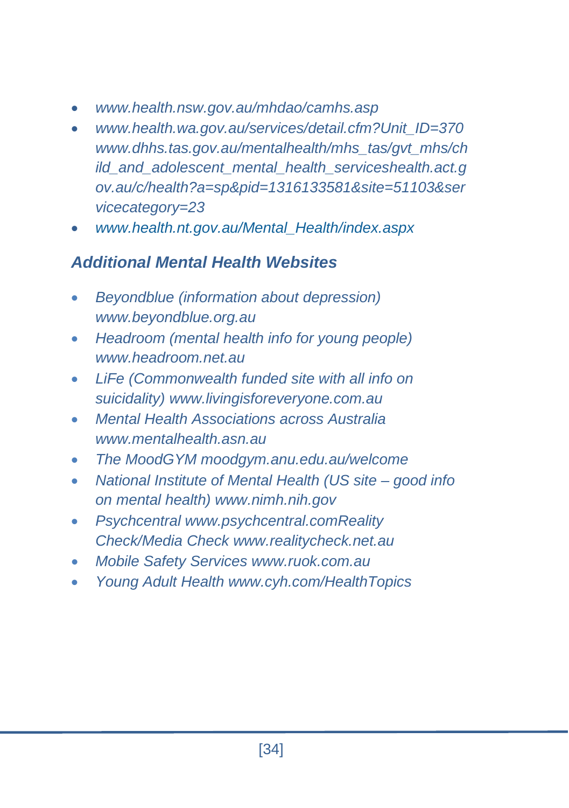- *www.health.nsw.gov.au/mhdao/camhs.asp*
- *[www.health.wa.gov.au/services/detail.cfm?Unit\\_ID=370](http://www.health.wa.gov.au/services/detail.cfm?Unit_ID=370) [www.dhhs.tas.gov.au/mentalhealth/mhs\\_tas/gvt\\_mhs/ch](http://www.health.wa.gov.au/services/detail.cfm?Unit_ID=370) ild\_and\_adolescent\_mental\_health\_service[shealth.act.g](http://health.act.gov.au/c/health?a=sp&pid=1316133581&site=51103&servicecategory=23) [ov.au/c/health?a=sp&pid=1316133581&site=51103&ser](http://health.act.gov.au/c/health?a=sp&pid=1316133581&site=51103&servicecategory=23) [vicecategory=23](http://health.act.gov.au/c/health?a=sp&pid=1316133581&site=51103&servicecategory=23)*
- *[www.health.nt.gov.au/Mental\\_Health/index.aspx](http://www.health.nt.gov.au/Mental_Health/index.aspx)*

## *Additional Mental Health Websites*

- *Beyondblue (information about depression) [www.beyondblue.org.au](http://www.beyondblue.org.au/#_blank)*
- *Headroom (mental health info for young people) [www.headroom.net.au](http://www.headroom.net.au/#_blank)*
- *LiFe (Commonwealth funded site with all info on suicidality) www.livingisforeveryone.com.au*
- *Mental Health Associations across Australia www.mentalhealth.asn.au*
- *The MoodGYM moodgym.anu.edu.au/welcome*
- *National Institute of Mental Health (US site – good info on mental health) www.nimh.nih.gov*
- *Psychcentral www.psychcentral.comReality Check/Media Check [www.realitycheck.net.au](http://www.realitycheck.net.au/#_blank)*
- *Mobile Safety Services [www.ruok.com.au](http://www.ruok.com.au/#_blank)*
- *Young Adult Health www.cyh.com/HealthTopics*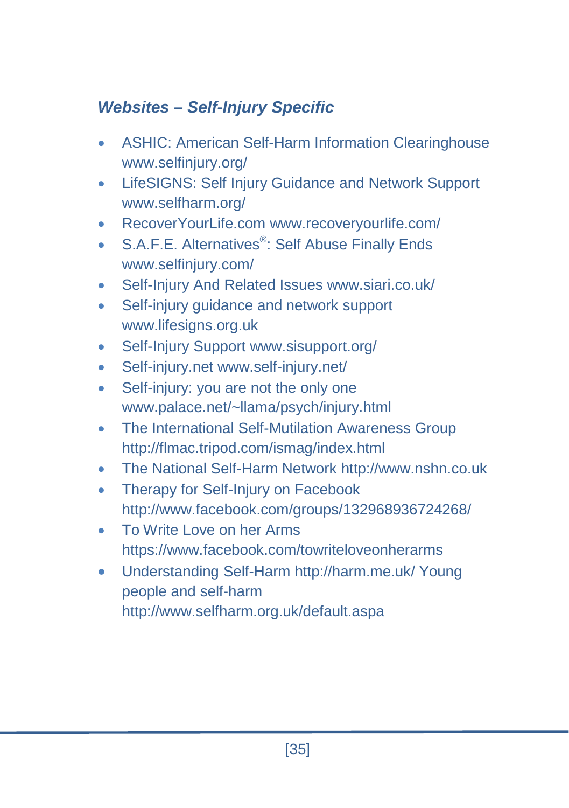## *Websites – Self-Injury Specific*

- ASHIC: American Self-Harm Information Clearinghouse www.selfinjury.org/
- LifeSIGNS: Self Injury Guidance and Network Support www.selfharm.org/
- RecoverYourLife.com www.recoveryourlife.com/
- S.A.F.E. Alternatives<sup>®</sup>: Self Abuse Finally Ends www.selfinjury.com/
- Self-Injury And Related Issues www.siari.co.uk/
- Self-injury quidance and network support www.lifesigns.org.uk
- Self-Injury Support www.sisupport.org/
- Self-injury.net www.self-injury.net/
- Self-injury: you are not the only one [www.palace.net/~llama/psych/injury.html](http://www.palace.net/~llama/psych/injury.html)
- The International Self-Mutilation Awareness Group http://flmac.tripod.com/ismag/index.html
- The National Self-Harm Network http://www.nshn.co.uk
- Therapy for Self-Injury on Facebook http://www.facebook.com/groups/132968936724268/
- To Write Love on her Arms https://www.facebook.com/towriteloveonherarms
- Understanding Self-Harm http://harm.me.uk/ Young people and self-harm http://www.selfharm.org.uk/default.aspa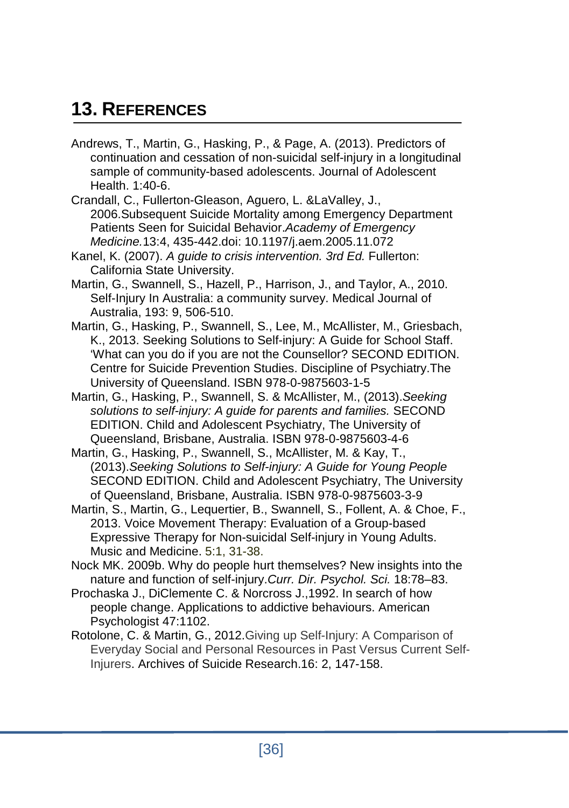## **13. REFERENCES**

- Andrews, T., Martin, G., Hasking, P., & Page, A. (2013). Predictors of continuation and cessation of non-suicidal self-injury in a longitudinal sample of community-based adolescents. Journal of Adolescent Health. 1:40-6.
- Crandall, C., Fullerton-Gleason, Aguero, L. &LaValley, J., 2006.Subsequent Suicide Mortality among Emergency Department Patients Seen for Suicidal Behavior.*Academy of Emergency Medicine.*13:4, 435-442.doi: 10.1197/j.aem.2005.11.072
- Kanel, K. (2007). *A guide to crisis intervention. 3rd Ed.* Fullerton: California State University.
- Martin, G., Swannell, S., Hazell, P., Harrison, J., and Taylor, A., 2010. Self-Injury In Australia: a community survey. Medical Journal of Australia, 193: 9, 506-510.
- Martin, G., Hasking, P., Swannell, S., Lee, M., McAllister, M., Griesbach, K., 2013. Seeking Solutions to Self-injury: A Guide for School Staff. 'What can you do if you are not the Counsellor? SECOND EDITION. Centre for Suicide Prevention Studies. Discipline of Psychiatry.The University of Queensland. ISBN 978-0-9875603-1-5
- Martin, G., Hasking, P., Swannell, S. & McAllister, M., (2013).*Seeking solutions to self-injury: A guide for parents and families.* SECOND EDITION. Child and Adolescent Psychiatry, The University of Queensland, Brisbane, Australia. ISBN 978-0-9875603-4-6
- Martin, G., Hasking, P., Swannell, S., McAllister, M. & Kay, T., (2013).*Seeking Solutions to Self-injury: A Guide for Young People* SECOND EDITION. Child and Adolescent Psychiatry, The University of Queensland, Brisbane, Australia. ISBN 978-0-9875603-3-9
- Martin, S., Martin, G., Lequertier, B., Swannell, S., Follent, A. & Choe, F., 2013. Voice Movement Therapy: Evaluation of a Group-based Expressive Therapy for Non-suicidal Self-injury in Young Adults. Music and Medicine. 5:1, 31-38.
- Nock MK. 2009b. Why do people hurt themselves? New insights into the nature and function of self-injury.*Curr. Dir. Psychol. Sci.* 18:78–83.
- Prochaska J., DiClemente C. & Norcross J.,1992. In search of how people change. Applications to addictive behaviours. American Psychologist 47:1102.
- Rotolone, C. & Martin, G., 2012.Giving up Self-Injury: A Comparison of Everyday Social and Personal Resources in Past Versus Current Self-Injurers. Archives of Suicide Research.16: 2, 147-158.